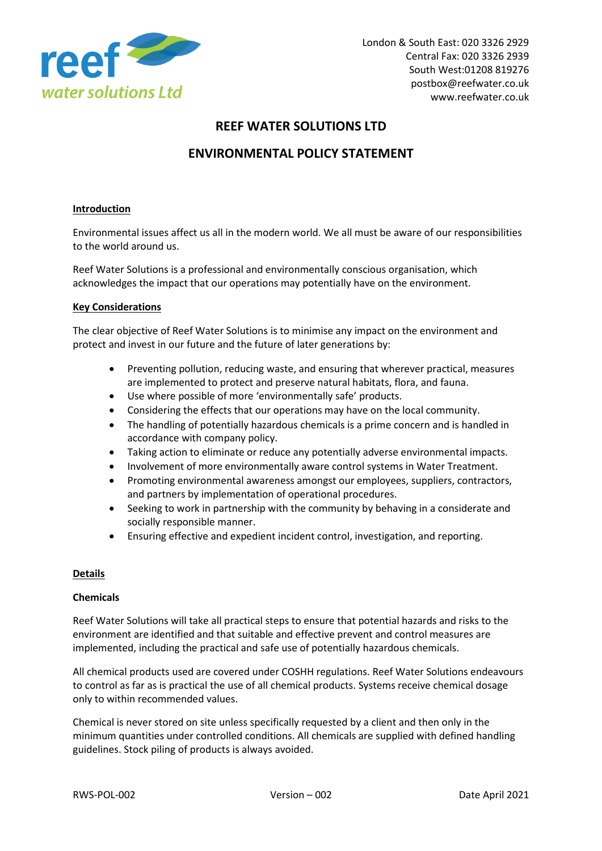

# **REEF WATER SOLUTIONS LTD**

# **ENVIRONMENTAL POLICY STATEMENT**

## **Introduction**

Environmental issues affect us all in the modern world. We all must be aware of our responsibilities to the world around us.

Reef Water Solutions is a professional and environmentally conscious organisation, which acknowledges the impact that our operations may potentially have on the environment.

### **Key Considerations**

The clear objective of Reef Water Solutions is to minimise any impact on the environment and protect and invest in our future and the future of later generations by:

- Preventing pollution, reducing waste, and ensuring that wherever practical, measures are implemented to protect and preserve natural habitats, flora, and fauna.
- Use where possible of more 'environmentally safe' products.
- Considering the effects that our operations may have on the local community.
- The handling of potentially hazardous chemicals is a prime concern and is handled in accordance with company policy.
- Taking action to eliminate or reduce any potentially adverse environmental impacts.
- Involvement of more environmentally aware control systems in Water Treatment.
- Promoting environmental awareness amongst our employees, suppliers, contractors, and partners by implementation of operational procedures.
- Seeking to work in partnership with the community by behaving in a considerate and socially responsible manner.
- Ensuring effective and expedient incident control, investigation, and reporting.

#### **Details**

#### **Chemicals**

Reef Water Solutions will take all practical steps to ensure that potential hazards and risks to the environment are identified and that suitable and effective prevent and control measures are implemented, including the practical and safe use of potentially hazardous chemicals.

All chemical products used are covered under COSHH regulations. Reef Water Solutions endeavours to control as far as is practical the use of all chemical products. Systems receive chemical dosage only to within recommended values.

Chemical is never stored on site unless specifically requested by a client and then only in the minimum quantities under controlled conditions. All chemicals are supplied with defined handling guidelines. Stock piling of products is always avoided.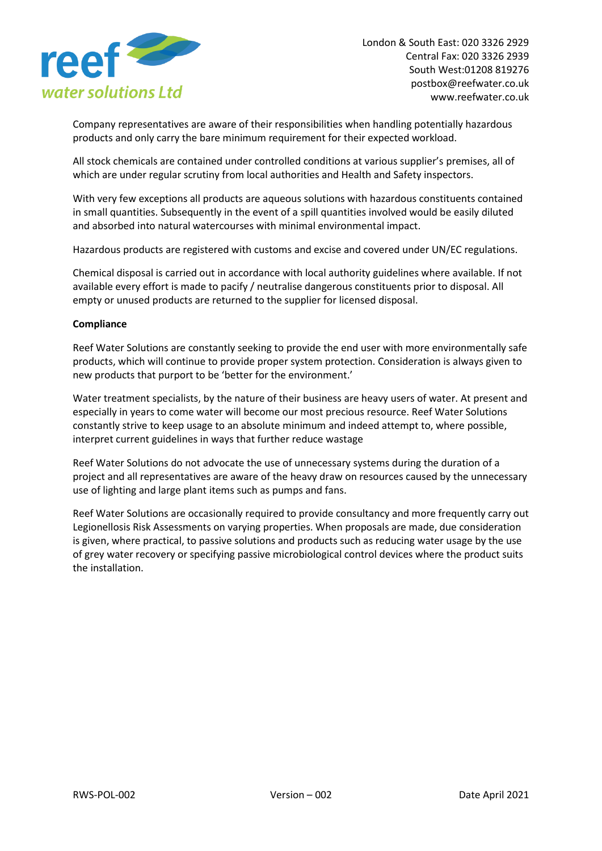

Company representatives are aware of their responsibilities when handling potentially hazardous products and only carry the bare minimum requirement for their expected workload.

All stock chemicals are contained under controlled conditions at various supplier's premises, all of which are under regular scrutiny from local authorities and Health and Safety inspectors.

With very few exceptions all products are aqueous solutions with hazardous constituents contained in small quantities. Subsequently in the event of a spill quantities involved would be easily diluted and absorbed into natural watercourses with minimal environmental impact.

Hazardous products are registered with customs and excise and covered under UN/EC regulations.

Chemical disposal is carried out in accordance with local authority guidelines where available. If not available every effort is made to pacify / neutralise dangerous constituents prior to disposal. All empty or unused products are returned to the supplier for licensed disposal.

### **Compliance**

Reef Water Solutions are constantly seeking to provide the end user with more environmentally safe products, which will continue to provide proper system protection. Consideration is always given to new products that purport to be 'better for the environment.'

Water treatment specialists, by the nature of their business are heavy users of water. At present and especially in years to come water will become our most precious resource. Reef Water Solutions constantly strive to keep usage to an absolute minimum and indeed attempt to, where possible, interpret current guidelines in ways that further reduce wastage

Reef Water Solutions do not advocate the use of unnecessary systems during the duration of a project and all representatives are aware of the heavy draw on resources caused by the unnecessary use of lighting and large plant items such as pumps and fans.

Reef Water Solutions are occasionally required to provide consultancy and more frequently carry out Legionellosis Risk Assessments on varying properties. When proposals are made, due consideration is given, where practical, to passive solutions and products such as reducing water usage by the use of grey water recovery or specifying passive microbiological control devices where the product suits the installation.